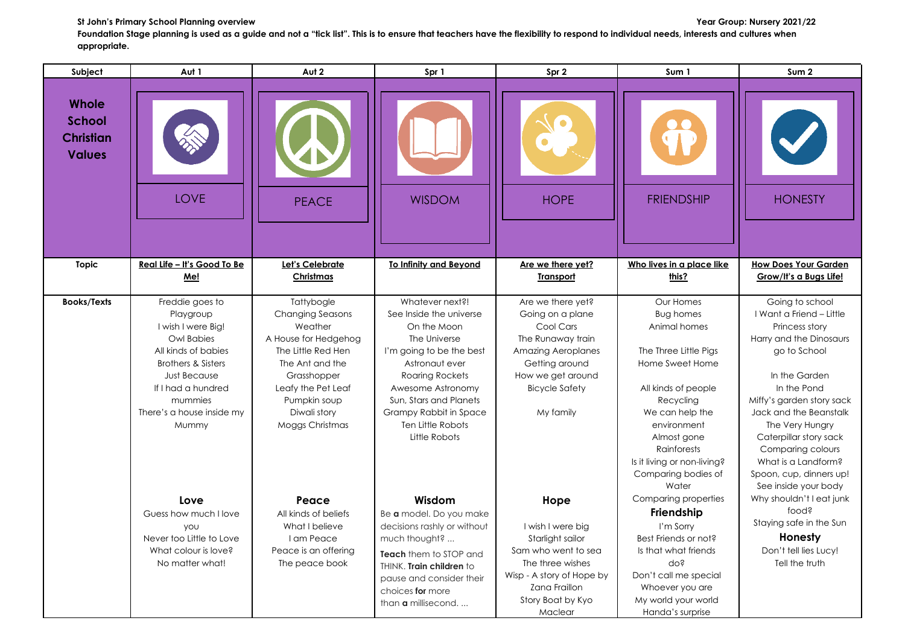## **St John's Primary School Planning overview Year Group: Nursery 2021/22**

Foundation Stage planning is used as a guide and not a "tick list". This is to ensure that teachers have the flexibility to respond to individual needs, interests and cultures when **appropriate.**

| Subject                                                     | Aut 1                                                                                                                                                                                                                  | Aut 2                                                                                                                                                                                                     | Spr 1                                                                                                                                                                                                                                                            | Spr 2                                                                                                                                                                             | Sum 1                                                                                                                                                                                                                                                        | Sum <sub>2</sub>                                                                                                                                                                                                                                                                                                                            |
|-------------------------------------------------------------|------------------------------------------------------------------------------------------------------------------------------------------------------------------------------------------------------------------------|-----------------------------------------------------------------------------------------------------------------------------------------------------------------------------------------------------------|------------------------------------------------------------------------------------------------------------------------------------------------------------------------------------------------------------------------------------------------------------------|-----------------------------------------------------------------------------------------------------------------------------------------------------------------------------------|--------------------------------------------------------------------------------------------------------------------------------------------------------------------------------------------------------------------------------------------------------------|---------------------------------------------------------------------------------------------------------------------------------------------------------------------------------------------------------------------------------------------------------------------------------------------------------------------------------------------|
| Whole<br><b>School</b><br><b>Christian</b><br><b>Values</b> | <b>LOVE</b>                                                                                                                                                                                                            | <b>PEACE</b>                                                                                                                                                                                              | <b>WISDOM</b>                                                                                                                                                                                                                                                    | <b>HOPE</b>                                                                                                                                                                       | <b>FRIENDSHIP</b>                                                                                                                                                                                                                                            | <b>HONESTY</b>                                                                                                                                                                                                                                                                                                                              |
| <b>Topic</b>                                                | Real Life - It's Good To Be<br>Me!                                                                                                                                                                                     | Let's Celebrate<br>Christmas                                                                                                                                                                              | <b>To Infinity and Bevond</b>                                                                                                                                                                                                                                    | Are we there yet?<br><b>Transport</b>                                                                                                                                             | Who lives in a place like<br>this?                                                                                                                                                                                                                           | <b>How Does Your Garden</b><br>Grow/It's a Bugs Life!                                                                                                                                                                                                                                                                                       |
| <b>Books/Texts</b>                                          | Freddie goes to<br>Playgroup<br>I wish I were Big!<br>Owl Babies<br>All kinds of babies<br><b>Brothers &amp; Sisters</b><br><b>Just Because</b><br>If I had a hundred<br>mummies<br>There's a house inside my<br>Mummy | Tattybogle<br><b>Changing Seasons</b><br>Weather<br>A House for Hedgehog<br>The Little Red Hen<br>The Ant and the<br>Grasshopper<br>Leafy the Pet Leaf<br>Pumpkin soup<br>Diwali story<br>Moggs Christmas | Whatever next?!<br>See Inside the universe<br>On the Moon<br>The Universe<br>I'm going to be the best<br>Astronaut ever<br><b>Roaring Rockets</b><br>Awesome Astronomy<br>Sun, Stars and Planets<br>Grampy Rabbit in Space<br>Ten Little Robots<br>Little Robots | Are we there yet?<br>Going on a plane<br>Cool Cars<br>The Runaway train<br><b>Amazing Aeroplanes</b><br>Getting around<br>How we get around<br><b>Bicycle Safety</b><br>My family | Our Homes<br><b>Bug homes</b><br>Animal homes<br>The Three Little Pigs<br>Home Sweet Home<br>All kinds of people<br>Recycling<br>We can help the<br>environment<br>Almost gone<br>Rainforests<br>Is it living or non-living?<br>Comparing bodies of<br>Water | Going to school<br>I Want a Friend - Little<br>Princess story<br>Harry and the Dinosaurs<br>go to School<br>In the Garden<br>In the Pond<br>Miffy's garden story sack<br>Jack and the Beanstalk<br>The Very Hungry<br>Caterpillar story sack<br>Comparing colours<br>What is a Landform?<br>Spoon, cup, dinners up!<br>See inside your body |
|                                                             | Love<br>Guess how much I love<br><b>YOU</b><br>Never too Little to Love<br>What colour is love?<br>No matter what!                                                                                                     | Peace<br>All kinds of beliefs<br>What I believe<br>I am Peace<br>Peace is an offering<br>The peace book                                                                                                   | Wisdom<br>Be a model. Do you make<br>decisions rashly or without<br>much thought?<br>Teach them to STOP and<br>THINK. Train children to<br>pause and consider their<br>choices for more<br>than <b>a</b> millisecond.                                            | Hope<br>I wish I were big<br>Starlight sailor<br>Sam who went to sea<br>The three wishes<br>Wisp - A story of Hope by<br>Zana Fraillon<br>Story Boat by Kyo<br>Maclear            | Comparing properties<br>Friendship<br>I'm Sorry<br>Best Friends or not?<br>Is that what friends<br>do?<br>Don't call me special<br>Whoever you are<br>My world your world<br>Handa's surprise                                                                | Why shouldn't I eat junk<br>food?<br>Staying safe in the Sun<br>Honesty<br>Don't tell lies Lucy!<br>Tell the truth                                                                                                                                                                                                                          |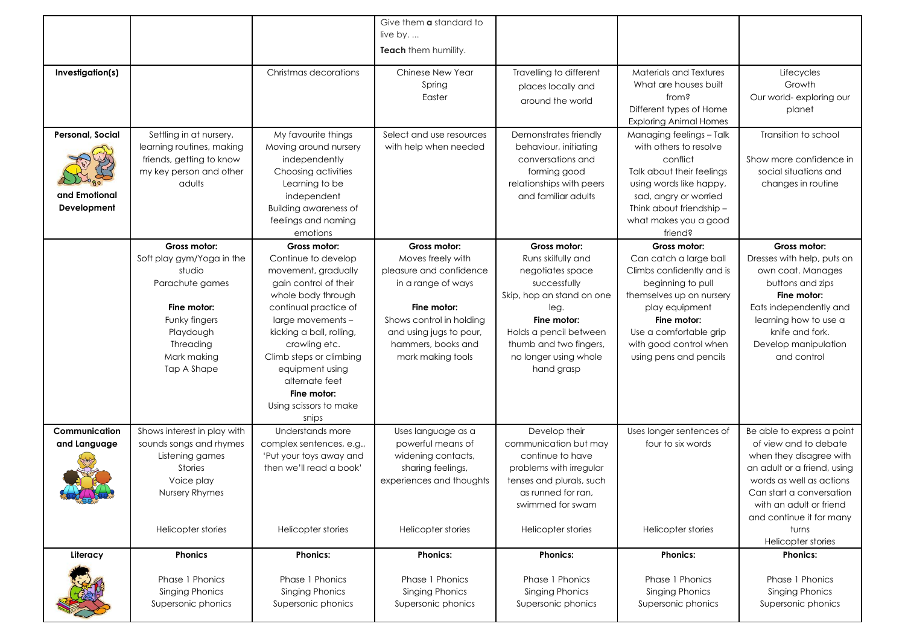|                         |                             |                              | Give them <b>a</b> standard to |                                               |                                                 |                             |
|-------------------------|-----------------------------|------------------------------|--------------------------------|-----------------------------------------------|-------------------------------------------------|-----------------------------|
|                         |                             |                              | live by                        |                                               |                                                 |                             |
|                         |                             |                              | Teach them humility.           |                                               |                                                 |                             |
| Investigation(s)        |                             | Christmas decorations        | Chinese New Year<br>Spring     | Travelling to different<br>places locally and | Materials and Textures<br>What are houses built | Lifecycles<br>Growth        |
|                         |                             |                              | Easter                         | around the world                              | from?                                           | Our world- exploring our    |
|                         |                             |                              |                                |                                               | Different types of Home                         | planet                      |
|                         |                             |                              |                                |                                               | <b>Exploring Animal Homes</b>                   |                             |
| <b>Personal, Social</b> | Settling in at nursery,     | My favourite things          | Select and use resources       | Demonstrates friendly                         | Managing feelings - Talk                        | Transition to school        |
|                         | learning routines, making   | Moving around nursery        | with help when needed          | behaviour, initiating                         | with others to resolve                          |                             |
|                         | friends, getting to know    | independently                |                                | conversations and                             | conflict                                        | Show more confidence in     |
|                         | my key person and other     | Choosing activities          |                                | forming good                                  | Talk about their feelings                       | social situations and       |
|                         | adults                      | Learning to be               |                                | relationships with peers                      | using words like happy,                         | changes in routine          |
| and Emotional           |                             | independent                  |                                | and familiar adults                           | sad, angry or worried                           |                             |
| Development             |                             | <b>Building awareness of</b> |                                |                                               | Think about friendship -                        |                             |
|                         |                             | feelings and naming          |                                |                                               | what makes you a good                           |                             |
|                         |                             | emotions                     |                                |                                               | friend?                                         |                             |
|                         | Gross motor:                | Gross motor:                 | Gross motor:                   | Gross motor:                                  | Gross motor:                                    | Gross motor:                |
|                         | Soft play gym/Yoga in the   | Continue to develop          | Moves freely with              | Runs skilfully and                            | Can catch a large ball                          | Dresses with help, puts on  |
|                         | studio                      | movement, gradually          | pleasure and confidence        | negotiates space                              | Climbs confidently and is                       | own coat. Manages           |
|                         | Parachute games             | gain control of their        | in a range of ways             | successfully                                  | beginning to pull                               | buttons and zips            |
|                         |                             | whole body through           |                                | Skip, hop an stand on one                     | themselves up on nursery                        | Fine motor:                 |
|                         | Fine motor:                 | continual practice of        | Fine motor:                    | leg.                                          | play equipment                                  | Eats independently and      |
|                         | Funky fingers               | large movements -            | Shows control in holding       | Fine motor:                                   | Fine motor:                                     | learning how to use a       |
|                         | Playdough                   | kicking a ball, rolling,     | and using jugs to pour,        | Holds a pencil between                        | Use a comfortable grip                          | knife and fork.             |
|                         | Threading                   | crawling etc.                | hammers, books and             | thumb and two fingers,                        | with good control when                          | Develop manipulation        |
|                         | Mark making                 | Climb steps or climbing      | mark making tools              | no longer using whole                         | using pens and pencils                          | and control                 |
|                         | Tap A Shape                 | equipment using              |                                | hand grasp                                    |                                                 |                             |
|                         |                             | alternate feet               |                                |                                               |                                                 |                             |
|                         |                             | Fine motor:                  |                                |                                               |                                                 |                             |
|                         |                             | Using scissors to make       |                                |                                               |                                                 |                             |
|                         |                             | snips                        |                                |                                               |                                                 |                             |
| Communication           | Shows interest in play with | Understands more             | Uses language as a             | Develop their                                 | Uses longer sentences of                        | Be able to express a point  |
| and Language            | sounds songs and rhymes     | complex sentences, e.g.,     | powerful means of              | communication but may                         | four to six words                               | of view and to debate       |
|                         | Listening games             | 'Put your toys away and      | widening contacts,             | continue to have                              |                                                 | when they disagree with     |
|                         | <b>Stories</b>              | then we'll read a book'      | sharing feelings,              | problems with irregular                       |                                                 | an adult or a friend, using |
|                         | Voice play                  |                              | experiences and thoughts       | tenses and plurals, such                      |                                                 | words as well as actions    |
| FULLEW                  | Nursery Rhymes              |                              |                                | as runned for ran,                            |                                                 | Can start a conversation    |
|                         |                             |                              |                                | swimmed for swam                              |                                                 | with an adult or friend     |
|                         |                             |                              |                                |                                               |                                                 | and continue it for many    |
|                         | Helicopter stories          | Helicopter stories           | Helicopter stories             | Helicopter stories                            | <b>Helicopter stories</b>                       | turns                       |
|                         |                             |                              |                                |                                               |                                                 | Helicopter stories          |
| Literacy                | <b>Phonics</b>              | <b>Phonics:</b>              | <b>Phonics:</b>                | <b>Phonics:</b>                               | <b>Phonics:</b>                                 | <b>Phonics:</b>             |
|                         | Phase 1 Phonics             | Phase 1 Phonics              | Phase 1 Phonics                | Phase 1 Phonics                               | Phase 1 Phonics                                 | Phase 1 Phonics             |
|                         | Singing Phonics             | <b>Singing Phonics</b>       | <b>Singing Phonics</b>         | Singing Phonics                               | <b>Singing Phonics</b>                          | <b>Singing Phonics</b>      |
|                         | Supersonic phonics          | Supersonic phonics           | Supersonic phonics             | Supersonic phonics                            | Supersonic phonics                              | Supersonic phonics          |
|                         |                             |                              |                                |                                               |                                                 |                             |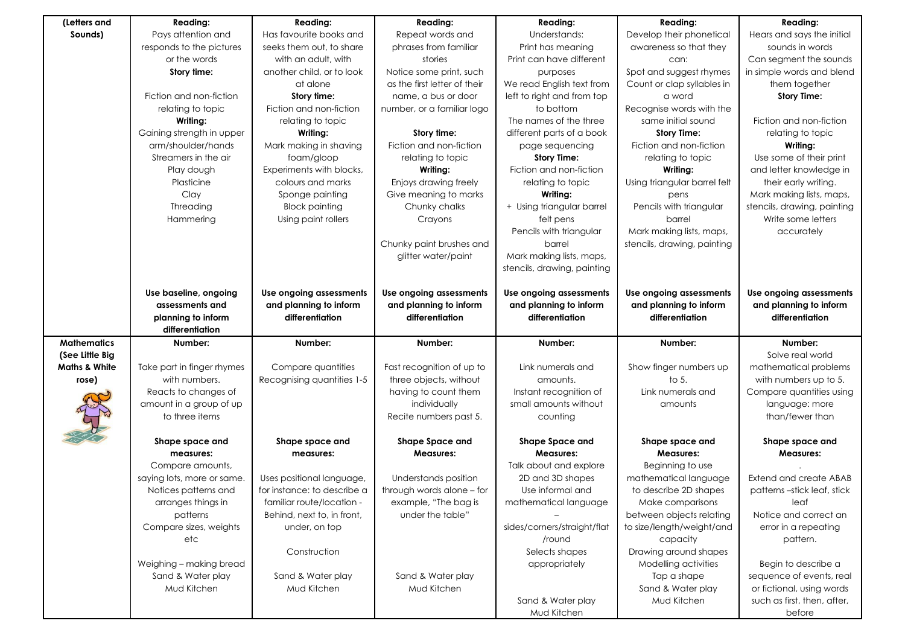| (Letters and             | <b>Reading:</b>            | Reading:                    | <b>Reading:</b>              | <b>Reading:</b>             | <b>Reading:</b>              | Reading:                      |
|--------------------------|----------------------------|-----------------------------|------------------------------|-----------------------------|------------------------------|-------------------------------|
| Sounds)                  | Pays attention and         | Has favourite books and     | Repeat words and             | Understands:                | Develop their phonetical     | Hears and says the initial    |
|                          | responds to the pictures   | seeks them out, to share    | phrases from familiar        | Print has meaning           | awareness so that they       | sounds in words               |
|                          | or the words               | with an adult, with         | stories                      | Print can have different    | can:                         | Can segment the sounds        |
|                          | Story time:                | another child, or to look   | Notice some print, such      | purposes                    | Spot and suggest rhymes      | in simple words and blend     |
|                          |                            | at alone                    | as the first letter of their | We read English text from   | Count or clap syllables in   | them together                 |
|                          | Fiction and non-fiction    | Story time:                 | name, a bus or door          | left to right and from top  | a word                       | <b>Story Time:</b>            |
|                          | relating to topic          | Fiction and non-fiction     | number, or a familiar logo   | to bottom                   | Recognise words with the     |                               |
|                          | Writing:                   | relating to topic           |                              | The names of the three      | same initial sound           | Fiction and non-fiction       |
|                          | Gaining strength in upper  | Writing:                    | Story time:                  | different parts of a book   | <b>Story Time:</b>           | relating to topic             |
|                          | arm/shoulder/hands         | Mark making in shaving      | Fiction and non-fiction      | page sequencing             | Fiction and non-fiction      | Writing:                      |
|                          | Streamers in the air       | foam/gloop                  | relating to topic            | <b>Story Time:</b>          | relating to topic            | Use some of their print       |
|                          | Play dough                 | Experiments with blocks,    | Writing:                     | Fiction and non-fiction     | Writing:                     | and letter knowledge in       |
|                          | Plasticine                 | colours and marks           | Enjoys drawing freely        | relating to topic           | Using triangular barrel felt | their early writing.          |
|                          | Clay                       | Sponge painting             | Give meaning to marks        | Writing:                    | pens                         | Mark making lists, maps,      |
|                          | Threading                  | <b>Block painting</b>       | Chunky chalks                | + Using triangular barrel   | Pencils with triangular      | stencils, drawing, painting   |
|                          | Hammering                  | Using paint rollers         | Crayons                      | felt pens                   | barrel                       | Write some letters            |
|                          |                            |                             |                              | Pencils with triangular     | Mark making lists, maps,     | accurately                    |
|                          |                            |                             | Chunky paint brushes and     | barrel                      | stencils, drawing, painting  |                               |
|                          |                            |                             | glitter water/paint          | Mark making lists, maps,    |                              |                               |
|                          |                            |                             |                              | stencils, drawing, painting |                              |                               |
|                          |                            |                             |                              |                             |                              |                               |
|                          | Use baseline, ongoing      | Use ongoing assessments     | Use ongoing assessments      | Use ongoing assessments     | Use ongoing assessments      | Use ongoing assessments       |
|                          | assessments and            | and planning to inform      | and planning to inform       | and planning to inform      | and planning to inform       | and planning to inform        |
|                          | planning to inform         | differentiation             | differentiation              | differentiation             | differentiation              | differentiation               |
|                          | differentiation            |                             |                              |                             |                              |                               |
| <b>Mathematics</b>       | Number:                    | Number:                     | Number:                      | Number:                     | Number:                      | Number:                       |
| (See Little Big          |                            |                             |                              |                             |                              | Solve real world              |
| <b>Maths &amp; White</b> | Take part in finger rhymes | Compare quantities          | Fast recognition of up to    | Link numerals and           | Show finger numbers up       | mathematical problems         |
| rose)                    | with numbers.              | Recognising quantities 1-5  | three objects, without       | amounts.                    | to $5.$                      | with numbers up to 5.         |
|                          | Reacts to changes of       |                             | having to count them         | Instant recognition of      | Link numerals and            | Compare quantities using      |
|                          | amount in a group of up    |                             | individually                 | small amounts without       | amounts                      | language: more                |
|                          | to three items             |                             | Recite numbers past 5.       | counting                    |                              | than/fewer than               |
|                          |                            |                             |                              |                             |                              |                               |
|                          | Shape space and            | Shape space and             | Shape Space and              | <b>Shape Space and</b>      | Shape space and              | Shape space and               |
|                          | measures:                  | measures:                   | <b>Measures:</b>             | <b>Measures:</b>            | <b>Measures:</b>             | Measures:                     |
|                          | Compare amounts,           |                             |                              | Talk about and explore      | Beginning to use             |                               |
|                          | saying lots, more or same. | Uses positional language,   | Understands position         | 2D and 3D shapes            | mathematical language        | <b>Extend and create ABAB</b> |
|                          | Notices patterns and       | for instance: to describe a | through words alone - for    | Use informal and            | to describe 2D shapes        | patterns-stick leaf, stick    |
|                          | arranges things in         | familiar route/location -   | example, "The bag is         | mathematical language       | Make comparisons             | leaf                          |
|                          | patterns                   | Behind, next to, in front,  | under the table"             |                             | between objects relating     | Notice and correct an         |
|                          | Compare sizes, weights     | under, on top               |                              | sides/corners/straight/flat | to size/length/weight/and    | error in a repeating          |
|                          | etc                        |                             |                              | /round                      | capacity                     | pattern.                      |
|                          |                            | Construction                |                              | Selects shapes              | Drawing around shapes        |                               |
|                          | Weighing - making bread    |                             |                              | appropriately               | Modelling activities         | Begin to describe a           |
|                          | Sand & Water play          | Sand & Water play           | Sand & Water play            |                             | Tap a shape                  | sequence of events, real      |
|                          | Mud Kitchen                | Mud Kitchen                 | Mud Kitchen                  |                             | Sand & Water play            | or fictional, using words     |
|                          |                            |                             |                              | Sand & Water play           | Mud Kitchen                  | such as first, then, after,   |
|                          |                            |                             |                              | Mud Kitchen                 |                              | before                        |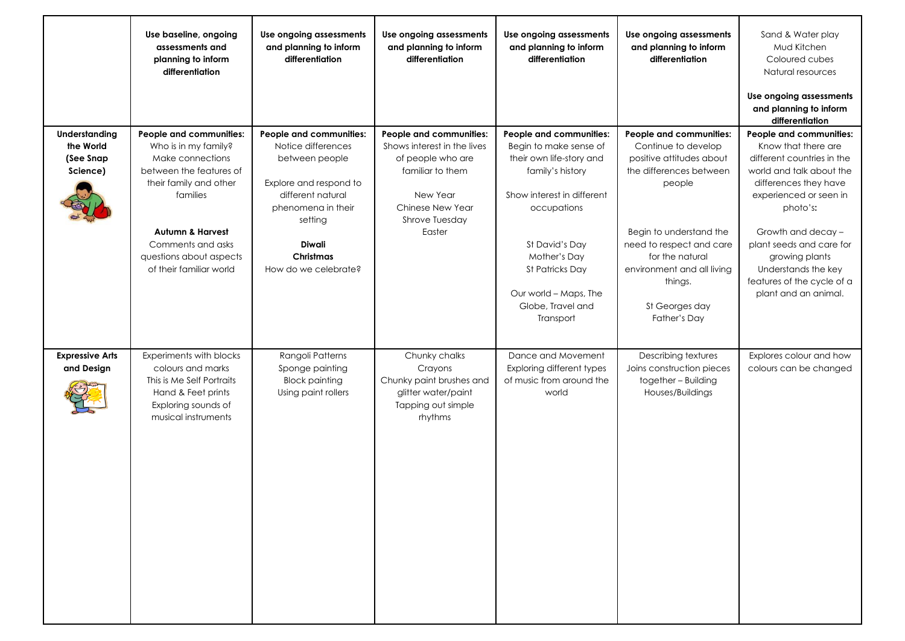|                                                     | Use baseline, ongoing<br>assessments and<br>planning to inform<br>differentiation                                                                                                                                                              | Use ongoing assessments<br>and planning to inform<br>differentiation                                                                                                                                  | Use ongoing assessments<br>and planning to inform<br>differentiation                                                                                        | Use ongoing assessments<br>and planning to inform<br>differentiation                                                                                                                                                                                                  | Use ongoing assessments<br>and planning to inform<br>differentiation                                                                                                                                                                                                 | Sand & Water play<br>Mud Kitchen<br>Coloured cubes<br>Natural resources<br>Use ongoing assessments<br>and planning to inform<br>differentiation                                                                                                                                                                          |
|-----------------------------------------------------|------------------------------------------------------------------------------------------------------------------------------------------------------------------------------------------------------------------------------------------------|-------------------------------------------------------------------------------------------------------------------------------------------------------------------------------------------------------|-------------------------------------------------------------------------------------------------------------------------------------------------------------|-----------------------------------------------------------------------------------------------------------------------------------------------------------------------------------------------------------------------------------------------------------------------|----------------------------------------------------------------------------------------------------------------------------------------------------------------------------------------------------------------------------------------------------------------------|--------------------------------------------------------------------------------------------------------------------------------------------------------------------------------------------------------------------------------------------------------------------------------------------------------------------------|
| Understanding<br>the World<br>(See Snap<br>Science) | People and communities:<br>Who is in my family?<br>Make connections<br>between the features of<br>their family and other<br>families<br><b>Autumn &amp; Harvest</b><br>Comments and asks<br>questions about aspects<br>of their familiar world | People and communities:<br>Notice differences<br>between people<br>Explore and respond to<br>different natural<br>phenomena in their<br>setting<br><b>Diwali</b><br>Christmas<br>How do we celebrate? | People and communities:<br>Shows interest in the lives<br>of people who are<br>familiar to them<br>New Year<br>Chinese New Year<br>Shrove Tuesday<br>Easter | People and communities:<br>Begin to make sense of<br>their own life-story and<br>family's history<br>Show interest in different<br>occupations<br>St David's Day<br>Mother's Day<br><b>St Patricks Day</b><br>Our world - Maps, The<br>Globe, Travel and<br>Transport | People and communities:<br>Continue to develop<br>positive attitudes about<br>the differences between<br>people<br>Begin to understand the<br>need to respect and care<br>for the natural<br>environment and all living<br>things.<br>St Georges day<br>Father's Day | People and communities:<br>Know that there are<br>different countries in the<br>world and talk about the<br>differences they have<br>experienced or seen in<br>photo's:<br>Growth and decay -<br>plant seeds and care for<br>growing plants<br>Understands the key<br>features of the cycle of a<br>plant and an animal. |
| <b>Expressive Arts</b><br>and Design                | Experiments with blocks<br>colours and marks<br>This is Me Self Portraits<br>Hand & Feet prints<br>Exploring sounds of<br>musical instruments                                                                                                  | Rangoli Patterns<br>Sponge painting<br><b>Block painting</b><br>Using paint rollers                                                                                                                   | Chunky chalks<br>Crayons<br>Chunky paint brushes and<br>glitter water/paint<br>Tapping out simple<br>rhythms                                                | Dance and Movement<br>Exploring different types<br>of music from around the<br>world                                                                                                                                                                                  | Describing textures<br>Joins construction pieces<br>together - Building<br>Houses/Buildings                                                                                                                                                                          | Explores colour and how<br>colours can be changed                                                                                                                                                                                                                                                                        |